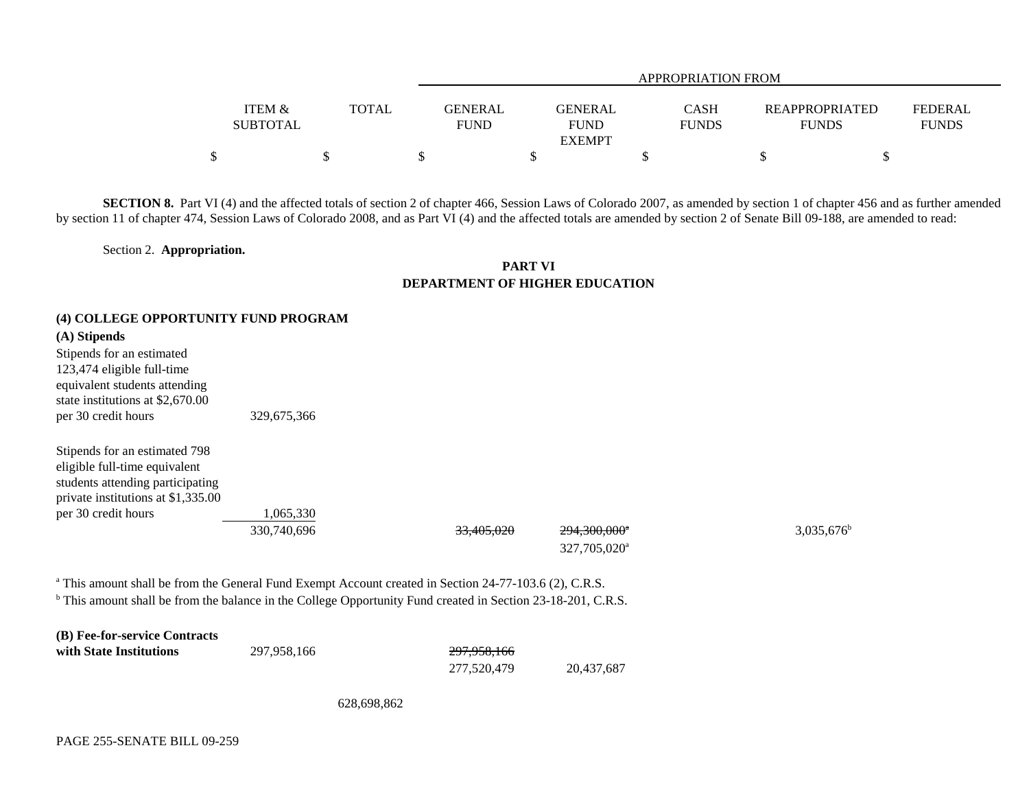|                 |              |             | APPROPRIATION FROM |              |                |                |  |  |  |  |
|-----------------|--------------|-------------|--------------------|--------------|----------------|----------------|--|--|--|--|
|                 |              |             |                    |              |                |                |  |  |  |  |
| ITEM &          | <b>TOTAL</b> | GENERAL     | <b>GENERAL</b>     | <b>CASH</b>  | REAPPROPRIATED | <b>FEDERAL</b> |  |  |  |  |
| <b>SUBTOTAL</b> |              | <b>FUND</b> | <b>FUND</b>        | <b>FUNDS</b> | <b>FUNDS</b>   | <b>FUNDS</b>   |  |  |  |  |
|                 |              |             | <b>EXEMPT</b>      |              |                |                |  |  |  |  |
| Φ<br>╜          |              |             |                    |              |                |                |  |  |  |  |

**SECTION 8.** Part VI (4) and the affected totals of section 2 of chapter 466, Session Laws of Colorado 2007, as amended by section 1 of chapter 456 and as further amended by section 11 of chapter 474, Session Laws of Colorado 2008, and as Part VI (4) and the affected totals are amended by section 2 of Senate Bill 09-188, are amended to read:

Section 2. **Appropriation.**

## **PART VIDEPARTMENT OF HIGHER EDUCATION**

## **(4) COLLEGE OPPORTUNITY FUND PROGRAM**

## **(A) Stipends**

| 329,675,366 |
|-------------|
|             |
|             |

| Supends for an estimated 198       |
|------------------------------------|
| eligible full-time equivalent      |
| students attending participating   |
| private institutions at \$1,335.00 |
| per 30 credit hours                |

 $S_t$  steps for an estimated 708

1,065,330

 $330,740,696$   $33,405,020$   $294,300,000$ <sup>a</sup>  $3,035,676$ <sup>b</sup>

327,705,020a

<sup>a</sup> This amount shall be from the General Fund Exempt Account created in Section 24-77-103.6 (2), C.R.S.

b This amount shall be from the balance in the College Opportunity Fund created in Section 23-18-201, C.R.S.

| (B) Fee-for-service Contracts |             |                        |            |
|-------------------------------|-------------|------------------------|------------|
| with State Institutions       | 297.958.166 | <del>297.958.166</del> |            |
|                               |             | 277.520.479            | 20.437.687 |

628,698,862